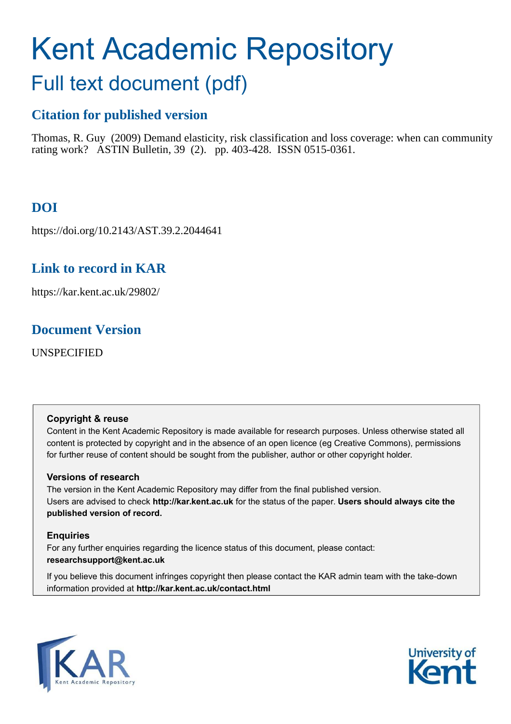# Kent Academic Repository Full text document (pdf)

# **Citation for published version**

Thomas, R. Guy (2009) Demand elasticity, risk classification and loss coverage: when can community rating work? ASTIN Bulletin, 39 (2). pp. 403-428. ISSN 0515-0361.

# **DOI**

https://doi.org/10.2143/AST.39.2.2044641

## **Link to record in KAR**

https://kar.kent.ac.uk/29802/

## **Document Version**

UNSPECIFIED

## **Copyright & reuse**

Content in the Kent Academic Repository is made available for research purposes. Unless otherwise stated all content is protected by copyright and in the absence of an open licence (eg Creative Commons), permissions for further reuse of content should be sought from the publisher, author or other copyright holder.

## **Versions of research**

The version in the Kent Academic Repository may differ from the final published version. Users are advised to check **http://kar.kent.ac.uk** for the status of the paper. **Users should always cite the published version of record.**

## **Enquiries**

For any further enquiries regarding the licence status of this document, please contact: **researchsupport@kent.ac.uk**

If you believe this document infringes copyright then please contact the KAR admin team with the take-down information provided at **http://kar.kent.ac.uk/contact.html**



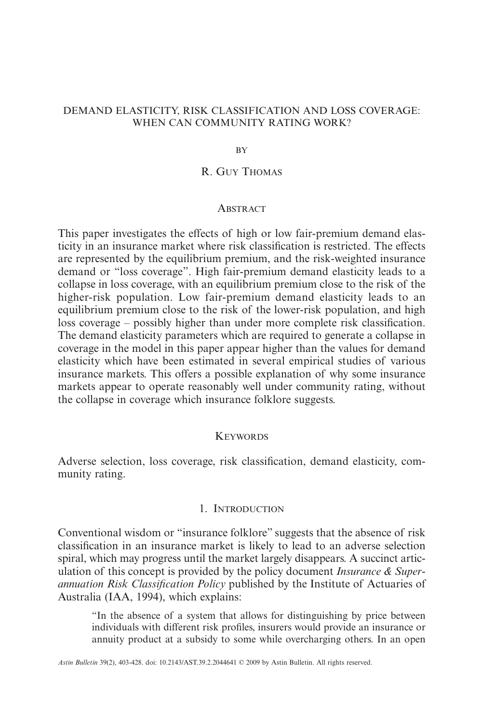#### DEMAND ELASTICITY, RISK CLASSIFICATION AND LOSS COVERAGE: WHEN CAN COMMUNITY RATING WORK?

#### BY

#### R. GUY THOMAS

#### **ABSTRACT**

This paper investigates the effects of high or low fair-premium demand elasticity in an insurance market where risk classification is restricted. The effects are represented by the equilibrium premium, and the risk-weighted insurance demand or "loss coverage". High fair-premium demand elasticity leads to a collapse in loss coverage, with an equilibrium premium close to the risk of the higher-risk population. Low fair-premium demand elasticity leads to an equilibrium premium close to the risk of the lower-risk population, and high loss coverage – possibly higher than under more complete risk classification. The demand elasticity parameters which are required to generate a collapse in coverage in the model in this paper appear higher than the values for demand elasticity which have been estimated in several empirical studies of various insurance markets. This offers a possible explanation of why some insurance markets appear to operate reasonably well under community rating, without the collapse in coverage which insurance folklore suggests.

#### **KEYWORDS**

Adverse selection, loss coverage, risk classification, demand elasticity, community rating.

#### 1. INTRODUCTION

Conventional wisdom or "insurance folklore" suggests that the absence of risk classification in an insurance market is likely to lead to an adverse selection spiral, which may progress until the market largely disappears. A succinct articulation of this concept is provided by the policy document *Insurance & Superannuation Risk Classification Policy* published by the Institute of Actuaries of Australia (IAA, 1994), which explains:

"In the absence of a system that allows for distinguishing by price between individuals with different risk profiles, insurers would provide an insurance or annuity product at a subsidy to some while overcharging others. In an open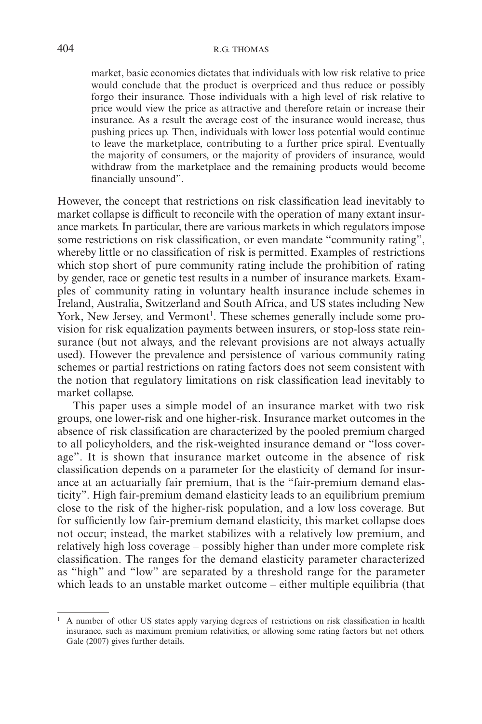market, basic economics dictates that individuals with low risk relative to price would conclude that the product is overpriced and thus reduce or possibly forgo their insurance. Those individuals with a high level of risk relative to price would view the price as attractive and therefore retain or increase their insurance. As a result the average cost of the insurance would increase, thus pushing prices up. Then, individuals with lower loss potential would continue to leave the marketplace, contributing to a further price spiral. Eventually the majority of consumers, or the majority of providers of insurance, would withdraw from the marketplace and the remaining products would become financially unsound".

However, the concept that restrictions on risk classification lead inevitably to market collapse is difficult to reconcile with the operation of many extant insurance markets. In particular, there are various markets in which regulators impose some restrictions on risk classification, or even mandate "community rating", whereby little or no classification of risk is permitted. Examples of restrictions which stop short of pure community rating include the prohibition of rating by gender, race or genetic test results in a number of insurance markets. Examples of community rating in voluntary health insurance include schemes in Ireland, Australia, Switzerland and South Africa, and US states including New York, New Jersey, and Vermont<sup>1</sup>. These schemes generally include some provision for risk equalization payments between insurers, or stop-loss state reinsurance (but not always, and the relevant provisions are not always actually used). However the prevalence and persistence of various community rating schemes or partial restrictions on rating factors does not seem consistent with the notion that regulatory limitations on risk classification lead inevitably to market collapse.

This paper uses a simple model of an insurance market with two risk groups, one lower-risk and one higher-risk. Insurance market outcomes in the absence of risk classification are characterized by the pooled premium charged to all policyholders, and the risk-weighted insurance demand or "loss coverage". It is shown that insurance market outcome in the absence of risk classification depends on a parameter for the elasticity of demand for insurance at an actuarially fair premium, that is the "fair-premium demand elasticity". High fair-premium demand elasticity leads to an equilibrium premium close to the risk of the higher-risk population, and a low loss coverage. But for sufficiently low fair-premium demand elasticity, this market collapse does not occur; instead, the market stabilizes with a relatively low premium, and relatively high loss coverage – possibly higher than under more complete risk classification. The ranges for the demand elasticity parameter characterized as "high" and "low" are separated by a threshold range for the parameter which leads to an unstable market outcome – either multiple equilibria (that

 $<sup>1</sup>$  A number of other US states apply varying degrees of restrictions on risk classification in health</sup> insurance, such as maximum premium relativities, or allowing some rating factors but not others. Gale (2007) gives further details.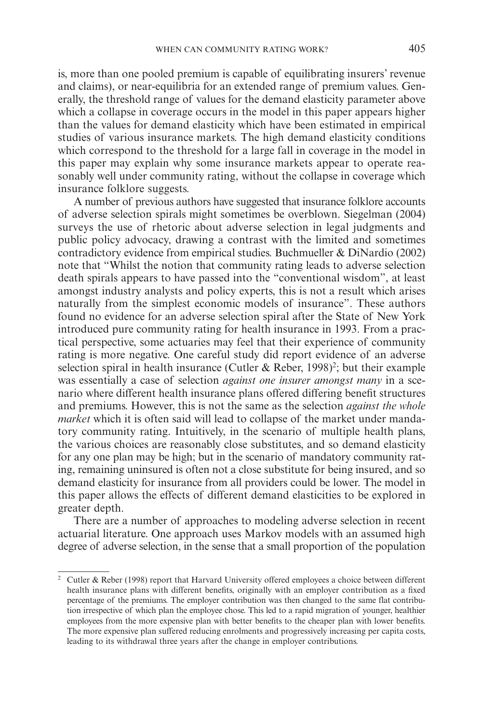is, more than one pooled premium is capable of equilibrating insurers' revenue and claims), or near-equilibria for an extended range of premium values. Generally, the threshold range of values for the demand elasticity parameter above which a collapse in coverage occurs in the model in this paper appears higher than the values for demand elasticity which have been estimated in empirical studies of various insurance markets. The high demand elasticity conditions which correspond to the threshold for a large fall in coverage in the model in this paper may explain why some insurance markets appear to operate reasonably well under community rating, without the collapse in coverage which insurance folklore suggests.

A number of previous authors have suggested that insurance folklore accounts of adverse selection spirals might sometimes be overblown. Siegelman (2004) surveys the use of rhetoric about adverse selection in legal judgments and public policy advocacy, drawing a contrast with the limited and sometimes contradictory evidence from empirical studies. Buchmueller & DiNardio (2002) note that "Whilst the notion that community rating leads to adverse selection death spirals appears to have passed into the "conventional wisdom", at least amongst industry analysts and policy experts, this is not a result which arises naturally from the simplest economic models of insurance". These authors found no evidence for an adverse selection spiral after the State of New York introduced pure community rating for health insurance in 1993. From a practical perspective, some actuaries may feel that their experience of community rating is more negative. One careful study did report evidence of an adverse selection spiral in health insurance (Cutler & Reber, 1998)<sup>2</sup>; but their example was essentially a case of selection *against one insurer amongst many* in a scenario where different health insurance plans offered differing benefit structures and premiums. However, this is not the same as the selection *against the whole market* which it is often said will lead to collapse of the market under mandatory community rating. Intuitively, in the scenario of multiple health plans, the various choices are reasonably close substitutes, and so demand elasticity for any one plan may be high; but in the scenario of mandatory community rating, remaining uninsured is often not a close substitute for being insured, and so demand elasticity for insurance from all providers could be lower. The model in this paper allows the effects of different demand elasticities to be explored in greater depth.

There are a number of approaches to modeling adverse selection in recent actuarial literature. One approach uses Markov models with an assumed high degree of adverse selection, in the sense that a small proportion of the population

<sup>2</sup> Cutler & Reber (1998) report that Harvard University offered employees a choice between different health insurance plans with different benefits, originally with an employer contribution as a fixed percentage of the premiums. The employer contribution was then changed to the same flat contribution irrespective of which plan the employee chose. This led to a rapid migration of younger, healthier employees from the more expensive plan with better benefits to the cheaper plan with lower benefits. The more expensive plan suffered reducing enrolments and progressively increasing per capita costs, leading to its withdrawal three years after the change in employer contributions.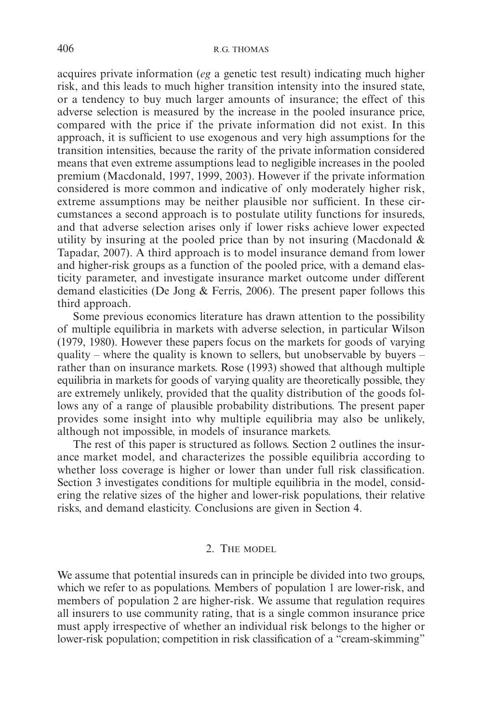acquires private information (*eg* a genetic test result) indicating much higher risk, and this leads to much higher transition intensity into the insured state, or a tendency to buy much larger amounts of insurance; the effect of this adverse selection is measured by the increase in the pooled insurance price, compared with the price if the private information did not exist. In this approach, it is sufficient to use exogenous and very high assumptions for the transition intensities, because the rarity of the private information considered means that even extreme assumptions lead to negligible increases in the pooled premium (Macdonald, 1997, 1999, 2003). However if the private information considered is more common and indicative of only moderately higher risk, extreme assumptions may be neither plausible nor sufficient. In these circumstances a second approach is to postulate utility functions for insureds, and that adverse selection arises only if lower risks achieve lower expected utility by insuring at the pooled price than by not insuring (Macdonald  $\&$ Tapadar, 2007). A third approach is to model insurance demand from lower and higher-risk groups as a function of the pooled price, with a demand elasticity parameter, and investigate insurance market outcome under different demand elasticities (De Jong & Ferris, 2006). The present paper follows this third approach.

Some previous economics literature has drawn attention to the possibility of multiple equilibria in markets with adverse selection, in particular Wilson (1979, 1980). However these papers focus on the markets for goods of varying quality – where the quality is known to sellers, but unobservable by buyers – rather than on insurance markets. Rose (1993) showed that although multiple equilibria in markets for goods of varying quality are theoretically possible, they are extremely unlikely, provided that the quality distribution of the goods follows any of a range of plausible probability distributions. The present paper provides some insight into why multiple equilibria may also be unlikely, although not impossible, in models of insurance markets.

The rest of this paper is structured as follows. Section 2 outlines the insurance market model, and characterizes the possible equilibria according to whether loss coverage is higher or lower than under full risk classification. Section 3 investigates conditions for multiple equilibria in the model, considering the relative sizes of the higher and lower-risk populations, their relative risks, and demand elasticity. Conclusions are given in Section 4.

#### 2. THE MODEL

We assume that potential insureds can in principle be divided into two groups, which we refer to as populations. Members of population 1 are lower-risk, and members of population 2 are higher-risk. We assume that regulation requires all insurers to use community rating, that is a single common insurance price must apply irrespective of whether an individual risk belongs to the higher or lower-risk population; competition in risk classification of a "cream-skimming"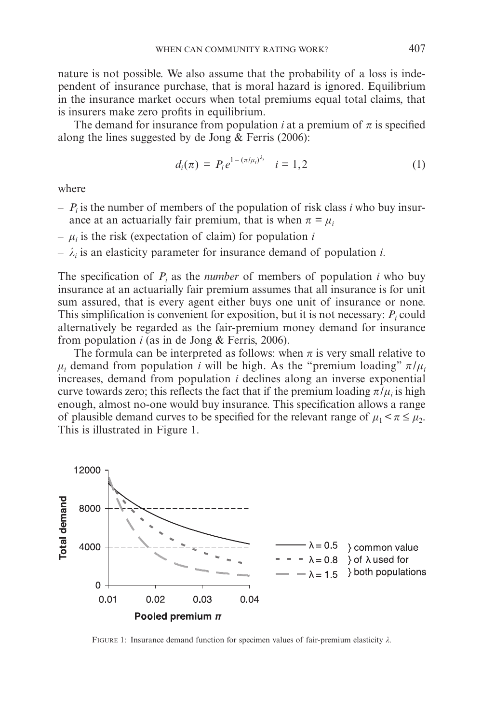nature is not possible. We also assume that the probability of a loss is independent of insurance purchase, that is moral hazard is ignored. Equilibrium in the insurance market occurs when total premiums equal total claims, that is insurers make zero profits in equilibrium.

The demand for insurance from population *i* at a premium of  $\pi$  is specified along the lines suggested by de Jong & Ferris (2006):

$$
d_i(\pi) = P_i e^{1 - (\pi/\mu_i)^{\lambda_i}} \quad i = 1, 2 \tag{1}
$$

where

- $-P_i$  is the number of members of the population of risk class *i* who buy insurance at an actuarially fair premium, that is when  $\pi = \mu_i$
- $-\mu_i$  is the risk (expectation of claim) for population *i*
- $\lambda_i$  is an elasticity parameter for insurance demand of population *i*.

The specification of  $P_i$  as the *number* of members of population *i* who buy insurance at an actuarially fair premium assumes that all insurance is for unit sum assured, that is every agent either buys one unit of insurance or none. This simplification is convenient for exposition, but it is not necessary:  $P_i$  could alternatively be regarded as the fair-premium money demand for insurance from population *i* (as in de Jong & Ferris, 2006).

The formula can be interpreted as follows: when  $\pi$  is very small relative to  $\mu_i$  demand from population *i* will be high. As the "premium loading"  $\pi/\mu_i$ increases, demand from population *i* declines along an inverse exponential curve towards zero; this reflects the fact that if the premium loading  $\pi/\mu_i$  is high enough, almost no-one would buy insurance. This specification allows a range of plausible demand curves to be specified for the relevant range of  $\mu_1 < \pi \le \mu_2$ . This is illustrated in Figure 1.



FIGURE 1: Insurance demand function for specimen values of fair-premium elasticity  $\lambda$ .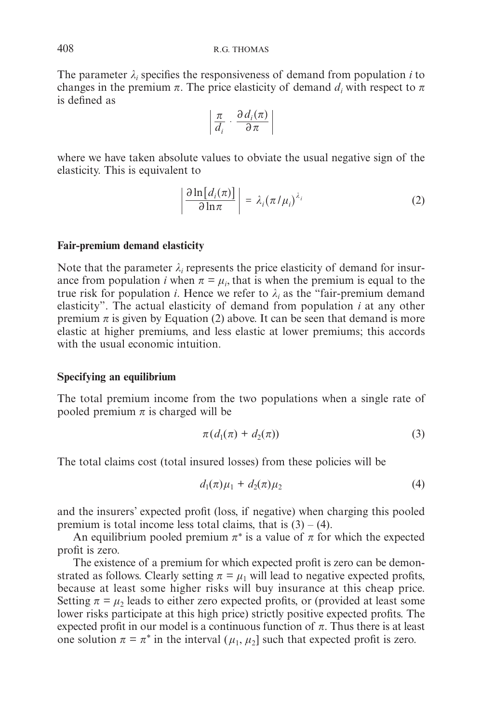The parameter  $\lambda_i$  specifies the responsiveness of demand from population *i* to changes in the premium  $\pi$ . The price elasticity of demand  $d_i$  with respect to  $\pi$ is defined as

$$
\left|\frac{\pi}{d_i}\cdot\frac{\partial d_i(\pi)}{\partial \pi}\right|
$$

where we have taken absolute values to obviate the usual negative sign of the elasticity. This is equivalent to

$$
\frac{\partial \ln[d_i(\pi)]}{\partial \ln \pi} = \lambda_i (\pi/\mu_i)^{\lambda_i}
$$
 (2)

#### **Fair-premium demand elasticity**

Note that the parameter  $\lambda_i$  represents the price elasticity of demand for insurance from population *i* when  $\pi = \mu_i$ , that is when the premium is equal to the true risk for population *i*. Hence we refer to  $\lambda_i$  as the "fair-premium demand" elasticity". The actual elasticity of demand from population *i* at any other premium  $\pi$  is given by Equation (2) above. It can be seen that demand is more elastic at higher premiums, and less elastic at lower premiums; this accords with the usual economic intuition.

#### **Specifying an equilibrium**

The total premium income from the two populations when a single rate of pooled premium  $\pi$  is charged will be

$$
\pi(d_1(\pi) + d_2(\pi))\tag{3}
$$

The total claims cost (total insured losses) from these policies will be

$$
d_1(\pi)\mu_1 + d_2(\pi)\mu_2 \tag{4}
$$

and the insurers' expected profit (loss, if negative) when charging this pooled premium is total income less total claims, that is  $(3) - (4)$ .

An equilibrium pooled premium  $\pi^*$  is a value of  $\pi$  for which the expected profit is zero.

The existence of a premium for which expected profit is zero can be demonstrated as follows. Clearly setting  $\pi = \mu_1$  will lead to negative expected profits, because at least some higher risks will buy insurance at this cheap price. Setting  $\pi = \mu_2$  leads to either zero expected profits, or (provided at least some lower risks participate at this high price) strictly positive expected profits. The expected profit in our model is a continuous function of  $\pi$ . Thus there is at least one solution  $\pi = \pi^*$  in the interval ( $\mu_1$ ,  $\mu_2$ ) such that expected profit is zero.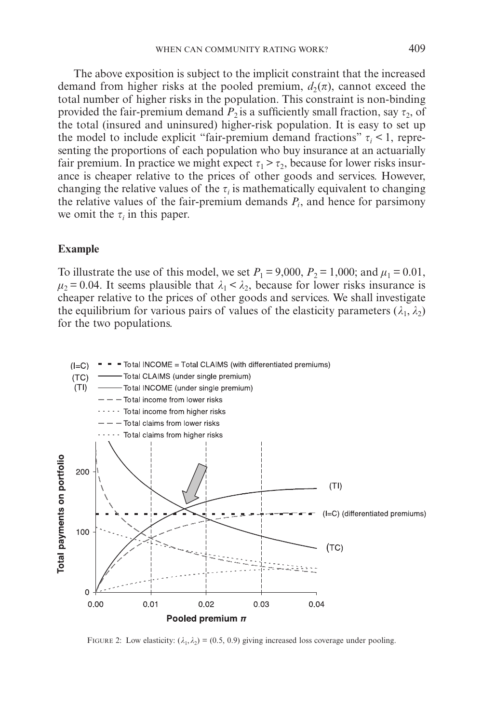The above exposition is subject to the implicit constraint that the increased demand from higher risks at the pooled premium,  $d_2(\pi)$ , cannot exceed the total number of higher risks in the population. This constraint is non-binding provided the fair-premium demand  $P_2$  is a sufficiently small fraction, say  $\tau_2$ , of the total (insured and uninsured) higher-risk population. It is easy to set up the model to include explicit "fair-premium demand fractions"  $\tau_i$  < 1, representing the proportions of each population who buy insurance at an actuarially fair premium. In practice we might expect  $\tau_1 > \tau_2$ , because for lower risks insurance is cheaper relative to the prices of other goods and services. However, changing the relative values of the  $\tau_i$  is mathematically equivalent to changing the relative values of the fair-premium demands  $P_i$ , and hence for parsimony we omit the  $\tau_i$  in this paper.

#### **Example**

To illustrate the use of this model, we set  $P_1 = 9,000$ ,  $P_2 = 1,000$ ; and  $\mu_1 = 0.01$ ,  $\mu_2$  = 0.04. It seems plausible that  $\lambda_1 < \lambda_2$ , because for lower risks insurance is cheaper relative to the prices of other goods and services. We shall investigate the equilibrium for various pairs of values of the elasticity parameters  $(\lambda_1, \lambda_2)$ for the two populations.



FIGURE 2: Low elasticity:  $(\lambda_1, \lambda_2) = (0.5, 0.9)$  giving increased loss coverage under pooling.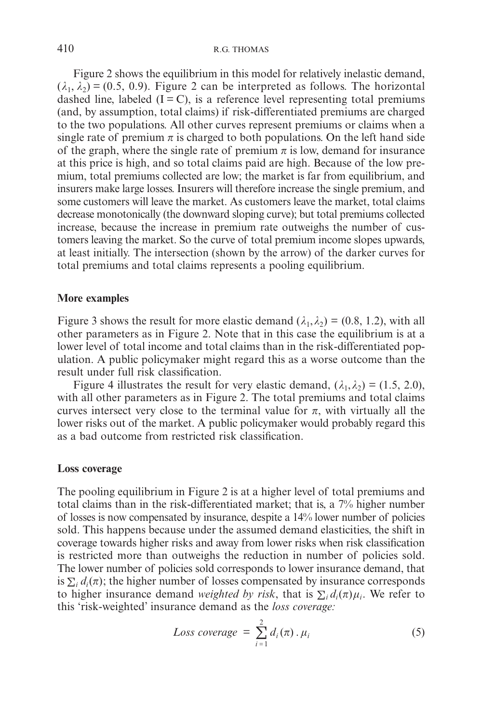Figure 2 shows the equilibrium in this model for relatively inelastic demand,  $(\lambda_1, \lambda_2) = (0.5, 0.9)$ . Figure 2 can be interpreted as follows. The horizontal dashed line, labeled  $(I = C)$ , is a reference level representing total premiums (and, by assumption, total claims) if risk-differentiated premiums are charged to the two populations. All other curves represent premiums or claims when a single rate of premium  $\pi$  is charged to both populations. On the left hand side of the graph, where the single rate of premium  $\pi$  is low, demand for insurance at this price is high, and so total claims paid are high. Because of the low premium, total premiums collected are low; the market is far from equilibrium, and insurers make large losses. Insurers will therefore increase the single premium, and some customers will leave the market. As customers leave the market, total claims decrease monotonically (the downward sloping curve); but total premiums collected increase, because the increase in premium rate outweighs the number of customers leaving the market. So the curve of total premium income slopes upwards, at least initially. The intersection (shown by the arrow) of the darker curves for total premiums and total claims represents a pooling equilibrium.

#### **More examples**

Figure 3 shows the result for more elastic demand  $(\lambda_1, \lambda_2) = (0.8, 1.2)$ , with all other parameters as in Figure 2. Note that in this case the equilibrium is at a lower level of total income and total claims than in the risk-differentiated population. A public policymaker might regard this as a worse outcome than the result under full risk classification.

Figure 4 illustrates the result for very elastic demand,  $(\lambda_1, \lambda_2) = (1.5, 2.0)$ , with all other parameters as in Figure 2. The total premiums and total claims curves intersect very close to the terminal value for  $\pi$ , with virtually all the lower risks out of the market. A public policymaker would probably regard this as a bad outcome from restricted risk classification.

#### **Loss coverage**

The pooling equilibrium in Figure 2 is at a higher level of total premiums and total claims than in the risk-differentiated market; that is, a 7% higher number of losses is now compensated by insurance, despite a 14% lower number of policies sold. This happens because under the assumed demand elasticities, the shift in coverage towards higher risks and away from lower risks when risk classification is restricted more than outweighs the reduction in number of policies sold. The lower number of policies sold corresponds to lower insurance demand, that is  $\sum_i d_i(\pi)$ ; the higher number of losses compensated by insurance corresponds to higher insurance demand *weighted by risk*, that is  $\sum_i d_i(\pi) \mu_i$ . We refer to this 'risk-weighted' insurance demand as the *loss coverage:*

Loss coverage = 
$$
\sum_{i=1}^{2} d_i(\pi) \cdot \mu_i
$$
 (5)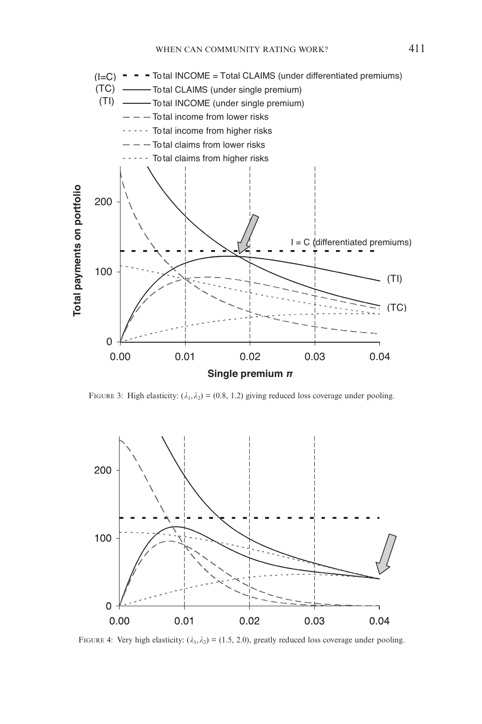

FIGURE 3: High elasticity:  $(\lambda_1, \lambda_2) = (0.8, 1.2)$  giving reduced loss coverage under pooling.



FIGURE 4: Very high elasticity:  $(\lambda_1, \lambda_2) = (1.5, 2.0)$ , greatly reduced loss coverage under pooling.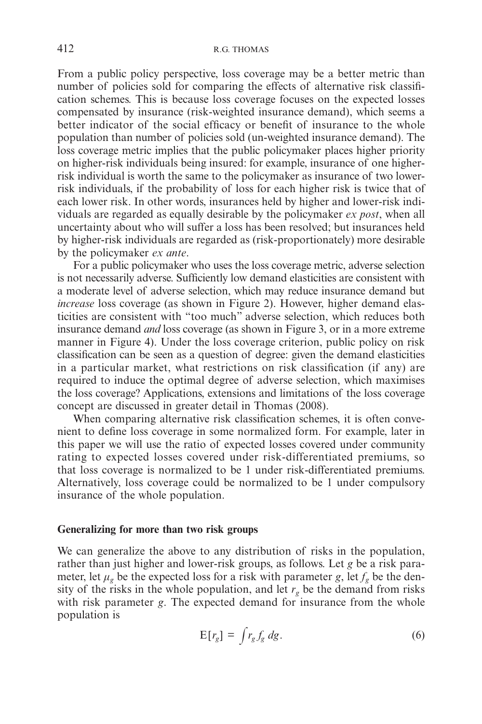From a public policy perspective, loss coverage may be a better metric than number of policies sold for comparing the effects of alternative risk classification schemes. This is because loss coverage focuses on the expected losses compensated by insurance (risk-weighted insurance demand), which seems a better indicator of the social efficacy or benefit of insurance to the whole population than number of policies sold (un-weighted insurance demand). The loss coverage metric implies that the public policymaker places higher priority on higher-risk individuals being insured: for example, insurance of one higherrisk individual is worth the same to the policymaker as insurance of two lowerrisk individuals, if the probability of loss for each higher risk is twice that of each lower risk. In other words, insurances held by higher and lower-risk individuals are regarded as equally desirable by the policymaker *ex post*, when all uncertainty about who will suffer a loss has been resolved; but insurances held by higher-risk individuals are regarded as (risk-proportionately) more desirable by the policymaker *ex ante*.

For a public policymaker who uses the loss coverage metric, adverse selection is not necessarily adverse. Sufficiently low demand elasticities are consistent with a moderate level of adverse selection, which may reduce insurance demand but *increase* loss coverage (as shown in Figure 2). However, higher demand elasticities are consistent with "too much" adverse selection, which reduces both insurance demand *and* loss coverage (as shown in Figure 3, or in a more extreme manner in Figure 4). Under the loss coverage criterion, public policy on risk classification can be seen as a question of degree: given the demand elasticities in a particular market, what restrictions on risk classification (if any) are required to induce the optimal degree of adverse selection, which maximises the loss coverage? Applications, extensions and limitations of the loss coverage concept are discussed in greater detail in Thomas (2008).

When comparing alternative risk classification schemes, it is often convenient to define loss coverage in some normalized form. For example, later in this paper we will use the ratio of expected losses covered under community rating to expected losses covered under risk-differentiated premiums, so that loss coverage is normalized to be 1 under risk-differentiated premiums. Alternatively, loss coverage could be normalized to be 1 under compulsory insurance of the whole population.

#### **Generalizing for more than two risk groups**

We can generalize the above to any distribution of risks in the population, rather than just higher and lower-risk groups, as follows. Let *g* be a risk parameter, let  $\mu_g$  be the expected loss for a risk with parameter *g*, let  $f_g$  be the density of the risks in the whole population, and let  $r_g$  be the demand from risks with risk parameter *g*. The expected demand for insurance from the whole population is

$$
E[r_g] = \int r_g f_g \, dg. \tag{6}
$$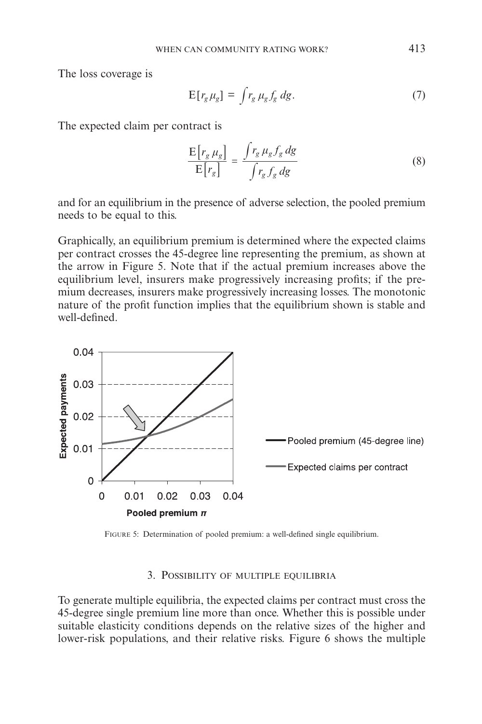The loss coverage is

$$
E[r_g\mu_g] = \int r_g\,\mu_g f_g\,dg. \tag{7}
$$

The expected claim per contract is

$$
\frac{\mathrm{E}\left[r_{g}\mu_{g}\right]}{\mathrm{E}\left[r_{g}\right]} = \frac{\int r_{g}\mu_{g}f_{g}dg}{\int r_{g}f_{g}dg}
$$
\n(8)

and for an equilibrium in the presence of adverse selection, the pooled premium needs to be equal to this.

Graphically, an equilibrium premium is determined where the expected claims per contract crosses the 45-degree line representing the premium, as shown at the arrow in Figure 5. Note that if the actual premium increases above the equilibrium level, insurers make progressively increasing profits; if the premium decreases, insurers make progressively increasing losses. The monotonic nature of the profit function implies that the equilibrium shown is stable and well-defined.



FIGURE 5: Determination of pooled premium: a well-defined single equilibrium.

#### 3. POSSIBILITY OF MULTIPLE EQUILIBRIA

To generate multiple equilibria, the expected claims per contract must cross the 45-degree single premium line more than once. Whether this is possible under suitable elasticity conditions depends on the relative sizes of the higher and lower-risk populations, and their relative risks. Figure 6 shows the multiple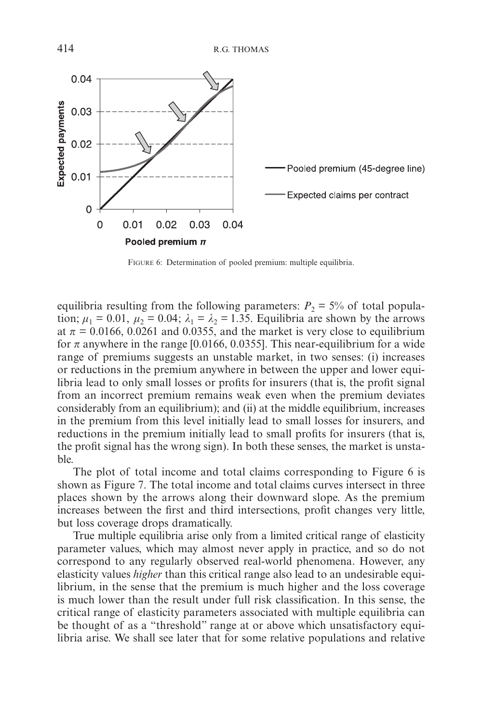

FIGURE 6: Determination of pooled premium: multiple equilibria.

equilibria resulting from the following parameters:  $P_2 = 5\%$  of total population;  $\mu_1 = 0.01$ ,  $\mu_2 = 0.04$ ;  $\lambda_1 = \lambda_2 = 1.35$ . Equilibria are shown by the arrows at  $\pi$  = 0.0166, 0.0261 and 0.0355, and the market is very close to equilibrium for  $\pi$  anywhere in the range [0.0166, 0.0355]. This near-equilibrium for a wide range of premiums suggests an unstable market, in two senses: (i) increases or reductions in the premium anywhere in between the upper and lower equilibria lead to only small losses or profits for insurers (that is, the profit signal from an incorrect premium remains weak even when the premium deviates considerably from an equilibrium); and (ii) at the middle equilibrium, increases in the premium from this level initially lead to small losses for insurers, and reductions in the premium initially lead to small profits for insurers (that is, the profit signal has the wrong sign). In both these senses, the market is unstable.

The plot of total income and total claims corresponding to Figure 6 is shown as Figure 7. The total income and total claims curves intersect in three places shown by the arrows along their downward slope. As the premium increases between the first and third intersections, profit changes very little, but loss coverage drops dramatically.

True multiple equilibria arise only from a limited critical range of elasticity parameter values, which may almost never apply in practice, and so do not correspond to any regularly observed real-world phenomena. However, any elasticity values *higher* than this critical range also lead to an undesirable equilibrium, in the sense that the premium is much higher and the loss coverage is much lower than the result under full risk classification. In this sense, the critical range of elasticity parameters associated with multiple equilibria can be thought of as a "threshold" range at or above which unsatisfactory equilibria arise. We shall see later that for some relative populations and relative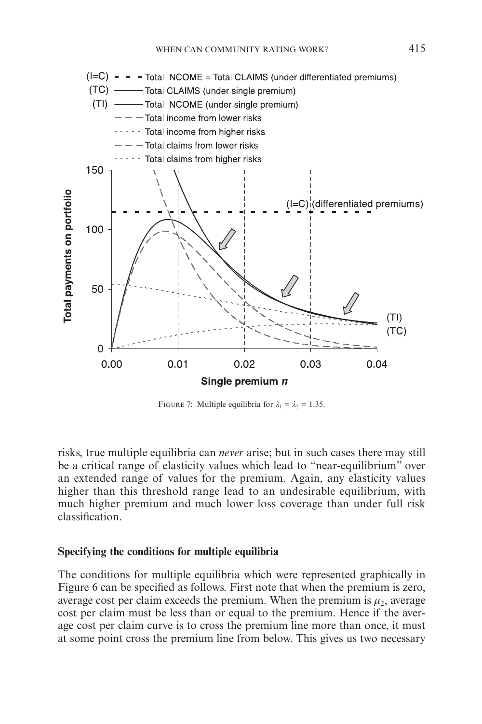

FIGURE 7: Multiple equilibria for  $\lambda_1 = \lambda_2 = 1.35$ .

risks, true multiple equilibria can *never* arise; but in such cases there may still be a critical range of elasticity values which lead to "near-equilibrium" over an extended range of values for the premium. Again, any elasticity values higher than this threshold range lead to an undesirable equilibrium, with much higher premium and much lower loss coverage than under full risk classification.

#### **Specifying the conditions for multiple equilibria**

The conditions for multiple equilibria which were represented graphically in Figure 6 can be specified as follows. First note that when the premium is zero, average cost per claim exceeds the premium. When the premium is  $\mu_2$ , average cost per claim must be less than or equal to the premium. Hence if the average cost per claim curve is to cross the premium line more than once, it must at some point cross the premium line from below. This gives us two necessary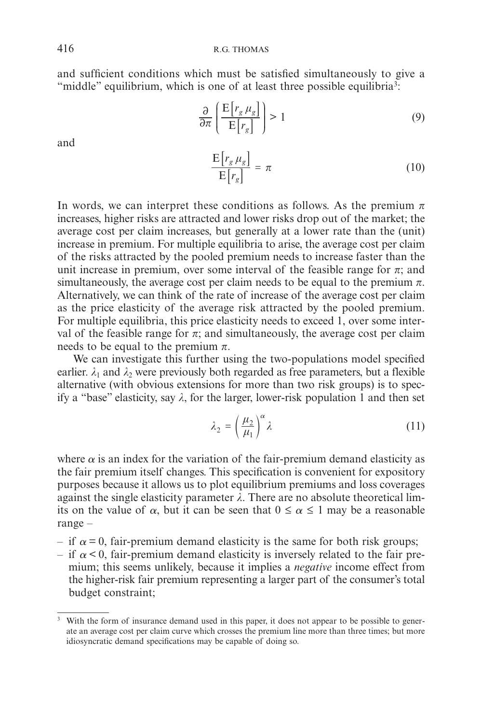and sufficient conditions which must be satisfied simultaneously to give a "middle" equilibrium, which is one of at least three possible equilibria<sup>3</sup>:

$$
\frac{\partial}{\partial \pi} \left( \frac{\mathbf{E} \left[ r_g \mu_g \right]}{\mathbf{E} \left[ r_g \right]} \right) > 1 \tag{9}
$$

and

$$
\frac{\mathrm{E}\left[r_g \mu_g\right]}{\mathrm{E}\left[r_g\right]} = \pi \tag{10}
$$

In words, we can interpret these conditions as follows. As the premium  $\pi$ increases, higher risks are attracted and lower risks drop out of the market; the average cost per claim increases, but generally at a lower rate than the (unit) increase in premium. For multiple equilibria to arise, the average cost per claim of the risks attracted by the pooled premium needs to increase faster than the unit increase in premium, over some interval of the feasible range for  $\pi$ ; and simultaneously, the average cost per claim needs to be equal to the premium  $\pi$ . Alternatively, we can think of the rate of increase of the average cost per claim as the price elasticity of the average risk attracted by the pooled premium. For multiple equilibria, this price elasticity needs to exceed 1, over some interval of the feasible range for  $\pi$ ; and simultaneously, the average cost per claim needs to be equal to the premium  $\pi$ .

We can investigate this further using the two-populations model specified earlier.  $\lambda_1$  and  $\lambda_2$  were previously both regarded as free parameters, but a flexible alternative (with obvious extensions for more than two risk groups) is to specify a "base" elasticity, say  $\lambda$ , for the larger, lower-risk population 1 and then set

$$
\lambda_2 = \left(\frac{\mu_2}{\mu_1}\right)^{\alpha} \lambda \tag{11}
$$

where  $\alpha$  is an index for the variation of the fair-premium demand elasticity as the fair premium itself changes. This specification is convenient for expository purposes because it allows us to plot equilibrium premiums and loss coverages against the single elasticity parameter  $\lambda$ . There are no absolute theoretical limits on the value of  $\alpha$ , but it can be seen that  $0 \le \alpha \le 1$  may be a reasonable range –

- if  $\alpha$  = 0, fair-premium demand elasticity is the same for both risk groups;
- if  $\alpha$  < 0, fair-premium demand elasticity is inversely related to the fair premium; this seems unlikely, because it implies a *negative* income effect from the higher-risk fair premium representing a larger part of the consumer's total budget constraint;

<sup>&</sup>lt;sup>3</sup> With the form of insurance demand used in this paper, it does not appear to be possible to generate an average cost per claim curve which crosses the premium line more than three times; but more idiosyncratic demand specifications may be capable of doing so.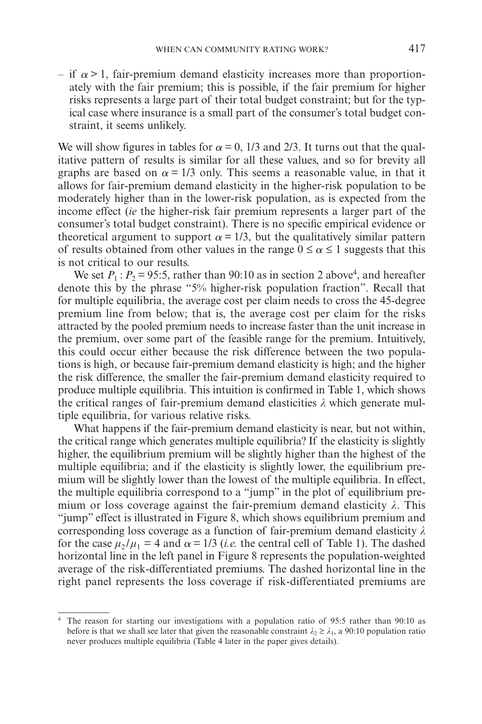– if  $\alpha$  > 1, fair-premium demand elasticity increases more than proportionately with the fair premium; this is possible, if the fair premium for higher risks represents a large part of their total budget constraint; but for the typical case where insurance is a small part of the consumer's total budget constraint, it seems unlikely.

We will show figures in tables for  $\alpha = 0$ , 1/3 and 2/3. It turns out that the qualitative pattern of results is similar for all these values, and so for brevity all graphs are based on  $\alpha = 1/3$  only. This seems a reasonable value, in that it allows for fair-premium demand elasticity in the higher-risk population to be moderately higher than in the lower-risk population, as is expected from the income effect (*ie* the higher-risk fair premium represents a larger part of the consumer's total budget constraint). There is no specific empirical evidence or theoretical argument to support  $\alpha = 1/3$ , but the qualitatively similar pattern of results obtained from other values in the range  $0 \le \alpha \le 1$  suggests that this is not critical to our results.

We set  $P_1: P_2 = 95:5$ , rather than 90:10 as in section 2 above<sup>4</sup>, and hereafter denote this by the phrase "5% higher-risk population fraction". Recall that for multiple equilibria, the average cost per claim needs to cross the 45-degree premium line from below; that is, the average cost per claim for the risks attracted by the pooled premium needs to increase faster than the unit increase in the premium, over some part of the feasible range for the premium. Intuitively, this could occur either because the risk difference between the two populations is high, or because fair-premium demand elasticity is high; and the higher the risk difference, the smaller the fair-premium demand elasticity required to produce multiple equilibria. This intuition is confirmed in Table 1, which shows the critical ranges of fair-premium demand elasticities  $\lambda$  which generate multiple equilibria, for various relative risks.

What happens if the fair-premium demand elasticity is near, but not within, the critical range which generates multiple equilibria? If the elasticity is slightly higher, the equilibrium premium will be slightly higher than the highest of the multiple equilibria; and if the elasticity is slightly lower, the equilibrium premium will be slightly lower than the lowest of the multiple equilibria. In effect, the multiple equilibria correspond to a "jump" in the plot of equilibrium premium or loss coverage against the fair-premium demand elasticity  $\lambda$ . This "jump" effect is illustrated in Figure 8, which shows equilibrium premium and corresponding loss coverage as a function of fair-premium demand elasticity  $\lambda$ for the case  $\mu_2/\mu_1 = 4$  and  $\alpha = 1/3$  (*i.e.* the central cell of Table 1). The dashed horizontal line in the left panel in Figure 8 represents the population-weighted average of the risk-differentiated premiums. The dashed horizontal line in the right panel represents the loss coverage if risk-differentiated premiums are

<sup>4</sup> The reason for starting our investigations with a population ratio of 95:5 rather than 90:10 as before is that we shall see later that given the reasonable constraint  $\lambda_2 \ge \lambda_1$ , a 90:10 population ratio never produces multiple equilibria (Table 4 later in the paper gives details).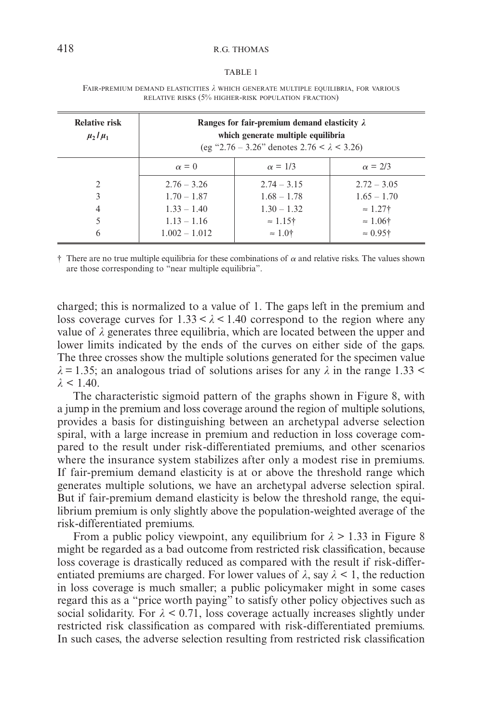#### 418 R.G. THOMAS

#### TABLE 1

| <b>Relative risk</b><br>$\mu$ <sub>2</sub> $\mu$ <sub>1</sub> | Ranges for fair-premium demand elasticity $\lambda$<br>which generate multiple equilibria<br>(eg "2.76 – 3.26" denotes $2.76 < \lambda < 3.26$ ) |                  |                  |
|---------------------------------------------------------------|--------------------------------------------------------------------------------------------------------------------------------------------------|------------------|------------------|
|                                                               | $\alpha = 0$                                                                                                                                     | $\alpha = 1/3$   | $\alpha = 2/3$   |
| 2                                                             | $2.76 - 3.26$                                                                                                                                    | $2.74 - 3.15$    | $2.72 - 3.05$    |
| 3                                                             | $1.70 - 1.87$                                                                                                                                    | $1.68 - 1.78$    | $1.65 - 1.70$    |
| $\overline{4}$                                                | $1.33 - 1.40$                                                                                                                                    | $1.30 - 1.32$    | $\approx 1.27$ † |
| 5                                                             | $1.13 - 1.16$                                                                                                                                    | $\approx 1.15$ † | $\approx 1.06$ † |
| 6                                                             | $1.002 - 1.012$                                                                                                                                  | $\approx 1.0$ †  | $\approx 0.95$ † |

FAIR-PREMIUM DEMAND ELASTICITIES  $\lambda$  which generate multiple equilibria, for various RELATIVE RISKS (5% HIGHER-RISK POPULATION FRACTION)

 $\dagger$  There are no true multiple equilibria for these combinations of  $\alpha$  and relative risks. The values shown are those corresponding to "near multiple equilibria".

charged; this is normalized to a value of 1. The gaps left in the premium and loss coverage curves for  $1.33 < \lambda < 1.40$  correspond to the region where any value of  $\lambda$  generates three equilibria, which are located between the upper and lower limits indicated by the ends of the curves on either side of the gaps. The three crosses show the multiple solutions generated for the specimen value  $\lambda = 1.35$ ; an analogous triad of solutions arises for any  $\lambda$  in the range 1.33 <  $\lambda$  < 1.40.

The characteristic sigmoid pattern of the graphs shown in Figure 8, with a jump in the premium and loss coverage around the region of multiple solutions, provides a basis for distinguishing between an archetypal adverse selection spiral, with a large increase in premium and reduction in loss coverage compared to the result under risk-differentiated premiums, and other scenarios where the insurance system stabilizes after only a modest rise in premiums. If fair-premium demand elasticity is at or above the threshold range which generates multiple solutions, we have an archetypal adverse selection spiral. But if fair-premium demand elasticity is below the threshold range, the equilibrium premium is only slightly above the population-weighted average of the risk-differentiated premiums.

From a public policy viewpoint, any equilibrium for  $\lambda > 1.33$  in Figure 8 might be regarded as a bad outcome from restricted risk classification, because loss coverage is drastically reduced as compared with the result if risk-differentiated premiums are charged. For lower values of  $\lambda$ , say  $\lambda$  < 1, the reduction in loss coverage is much smaller; a public policymaker might in some cases regard this as a "price worth paying" to satisfy other policy objectives such as social solidarity. For  $\lambda$  < 0.71, loss coverage actually increases slightly under restricted risk classification as compared with risk-differentiated premiums. In such cases, the adverse selection resulting from restricted risk classification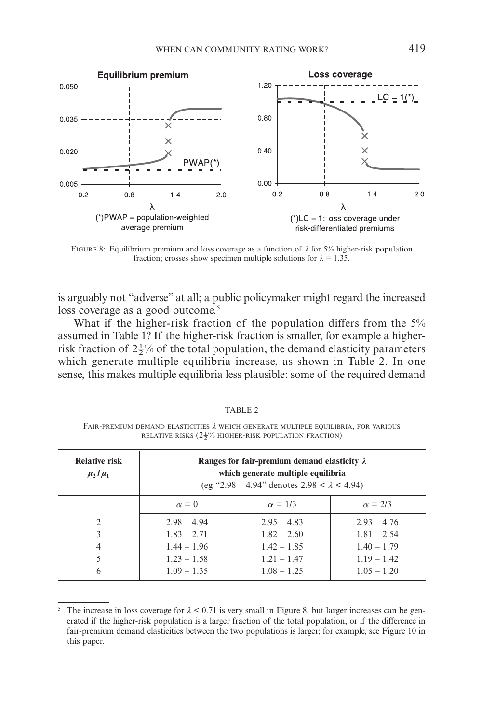

FIGURE 8: Equilibrium premium and loss coverage as a function of  $\lambda$  for 5% higher-risk population fraction; crosses show specimen multiple solutions for  $\lambda = 1.35$ .

is arguably not "adverse" at all; a public policymaker might regard the increased loss coverage as a good outcome.<sup>5</sup>

What if the higher-risk fraction of the population differs from the 5% assumed in Table 1? If the higher-risk fraction is smaller, for example a higherrisk fraction of  $2\frac{1}{2}\%$  of the total population, the demand elasticity parameters which generate multiple equilibria increase, as shown in Table 2. In one sense, this makes multiple equilibria less plausible: some of the required demand

TABLE 2

FAIR-PREMIUM DEMAND ELASTICITIES  $\lambda$  which generate multiple equilibria, for various RELATIVE RISKS  $(2\frac{1}{2}\%$  HIGHER-RISK POPULATION FRACTION)

| <b>Relative risk</b><br>$\mu_2/\mu_1$ | Ranges for fair-premium demand elasticity $\lambda$<br>which generate multiple equilibria<br>$(eg "2.98 - 4.94" denotes 2.98 < \lambda < 4.94)$ |                |                |
|---------------------------------------|-------------------------------------------------------------------------------------------------------------------------------------------------|----------------|----------------|
|                                       | $\alpha = 0$                                                                                                                                    | $\alpha = 1/3$ | $\alpha = 2/3$ |
| $\overline{c}$                        | $2.98 - 4.94$                                                                                                                                   | $2.95 - 4.83$  | $2.93 - 4.76$  |
| 3                                     | $1.83 - 2.71$                                                                                                                                   | $1.82 - 2.60$  | $1.81 - 2.54$  |
| 4                                     | $1.44 - 1.96$                                                                                                                                   | $1.42 - 1.85$  | $1.40 - 1.79$  |
| 5                                     | $1.23 - 1.58$                                                                                                                                   | $1.21 - 1.47$  | $1.19 - 1.42$  |
| 6                                     | $1.09 - 1.35$                                                                                                                                   | $1.08 - 1.25$  | $1.05 - 1.20$  |

<sup>&</sup>lt;sup>5</sup> The increase in loss coverage for  $\lambda$  < 0.71 is very small in Figure 8, but larger increases can be generated if the higher-risk population is a larger fraction of the total population, or if the difference in fair-premium demand elasticities between the two populations is larger; for example, see Figure 10 in this paper.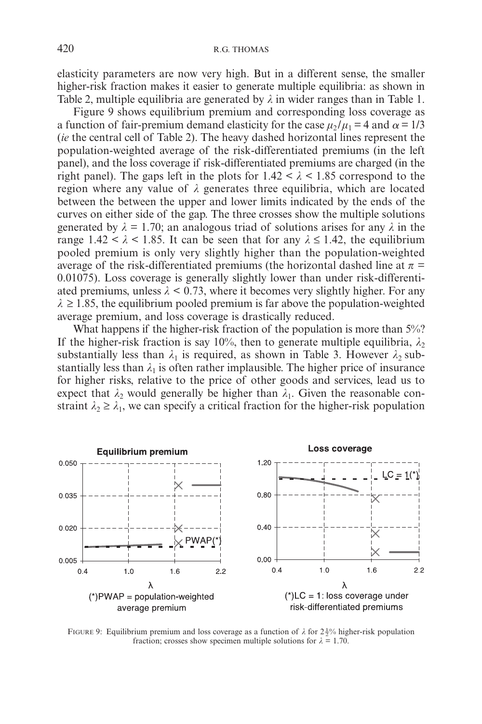elasticity parameters are now very high. But in a different sense, the smaller higher-risk fraction makes it easier to generate multiple equilibria: as shown in Table 2, multiple equilibria are generated by  $\lambda$  in wider ranges than in Table 1.

Figure 9 shows equilibrium premium and corresponding loss coverage as a function of fair-premium demand elasticity for the case  $\mu_2/\mu_1 = 4$  and  $\alpha = 1/3$ (*ie* the central cell of Table 2). The heavy dashed horizontal lines represent the population-weighted average of the risk-differentiated premiums (in the left panel), and the loss coverage if risk-differentiated premiums are charged (in the right panel). The gaps left in the plots for  $1.42 < \lambda < 1.85$  correspond to the region where any value of  $\lambda$  generates three equilibria, which are located between the between the upper and lower limits indicated by the ends of the curves on either side of the gap. The three crosses show the multiple solutions generated by  $\lambda = 1.70$ ; an analogous triad of solutions arises for any  $\lambda$  in the range  $1.42 < \lambda < 1.85$ . It can be seen that for any  $\lambda \le 1.42$ , the equilibrium pooled premium is only very slightly higher than the population-weighted average of the risk-differentiated premiums (the horizontal dashed line at  $\pi$  = 0.01075). Loss coverage is generally slightly lower than under risk-differentiated premiums, unless  $\lambda$  < 0.73, where it becomes very slightly higher. For any  $\lambda \ge 1.85$ , the equilibrium pooled premium is far above the population-weighted average premium, and loss coverage is drastically reduced.

What happens if the higher-risk fraction of the population is more than 5%? If the higher-risk fraction is say 10%, then to generate multiple equilibria,  $\lambda_2$ substantially less than  $\lambda_1$  is required, as shown in Table 3. However  $\lambda_2$  substantially less than  $\lambda_1$  is often rather implausible. The higher price of insurance for higher risks, relative to the price of other goods and services, lead us to expect that  $\lambda_2$  would generally be higher than  $\lambda_1$ . Given the reasonable constraint  $\lambda_2 \ge \lambda_1$ , we can specify a critical fraction for the higher-risk population



FIGURE 9: Equilibrium premium and loss coverage as a function of  $\lambda$  for  $2\frac{1}{2}\%$  higher-risk population fraction; crosses show specimen multiple solutions for  $\lambda = 1.70$ .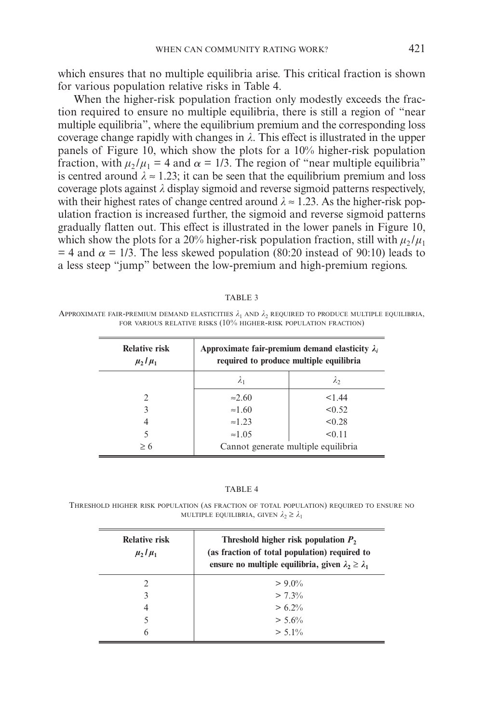which ensures that no multiple equilibria arise. This critical fraction is shown for various population relative risks in Table 4.

When the higher-risk population fraction only modestly exceeds the fraction required to ensure no multiple equilibria, there is still a region of "near multiple equilibria", where the equilibrium premium and the corresponding loss coverage change rapidly with changes in  $\lambda$ . This effect is illustrated in the upper panels of Figure 10, which show the plots for a 10% higher-risk population fraction, with  $\mu_2/\mu_1 = 4$  and  $\alpha = 1/3$ . The region of "near multiple equilibria" is centred around  $\lambda \approx 1.23$ ; it can be seen that the equilibrium premium and loss coverage plots against  $\lambda$  display sigmoid and reverse sigmoid patterns respectively, with their highest rates of change centred around  $\lambda \approx 1.23$ . As the higher-risk population fraction is increased further, the sigmoid and reverse sigmoid patterns gradually flatten out. This effect is illustrated in the lower panels in Figure 10, which show the plots for a 20% higher-risk population fraction, still with  $\mu_2/\mu_1$  $=$  4 and  $\alpha$  = 1/3. The less skewed population (80:20 instead of 90:10) leads to a less steep "jump" between the low-premium and high-premium regions.

#### TABLE 3

APPROXIMATE FAIR-PREMIUM DEMAND ELASTICITIES  $\lambda_1$  AND  $\lambda_2$  REQUIRED TO PRODUCE MULTIPLE EQUILIBRIA, FOR VARIOUS RELATIVE RISKS (10% HIGHER-RISK POPULATION FRACTION)

| <b>Relative risk</b><br>$\mu$ <sub>2</sub> $\mu$ <sub>1</sub> | Approximate fair-premium demand elasticity $\lambda_i$<br>required to produce multiple equilibria |        |
|---------------------------------------------------------------|---------------------------------------------------------------------------------------------------|--------|
|                                                               | $\lambda_1$                                                                                       | λ,     |
| 2                                                             | $\approx$ 2.60                                                                                    | 1.44   |
| 3                                                             | $\approx 1.60$                                                                                    | < 0.52 |
| 4                                                             | $\approx$ 1.23                                                                                    | < 0.28 |
| 5                                                             | $\approx 1.05$                                                                                    | < 0.11 |
| > 6                                                           | Cannot generate multiple equilibria                                                               |        |

#### TABLE 4

THRESHOLD HIGHER RISK POPULATION (AS FRACTION OF TOTAL POPULATION) REQUIRED TO ENSURE NO MULTIPLE EQUILIBRIA, GIVEN  $\lambda_2 \geq \lambda_1$ 

| <b>Relative risk</b><br>$\mu$ <sub>2</sub> $\mu$ <sub>1</sub> | Threshold higher risk population $P_2$<br>(as fraction of total population) required to<br>ensure no multiple equilibria, given $\lambda_2 \geq \lambda_1$ |  |
|---------------------------------------------------------------|------------------------------------------------------------------------------------------------------------------------------------------------------------|--|
| 2                                                             | $> 9.0\%$                                                                                                                                                  |  |
| 3                                                             | $> 7.3\%$                                                                                                                                                  |  |
| 4                                                             | $> 6.2\%$                                                                                                                                                  |  |
| 5                                                             | $> 5.6\%$                                                                                                                                                  |  |
| 6                                                             | $> 5.1\%$                                                                                                                                                  |  |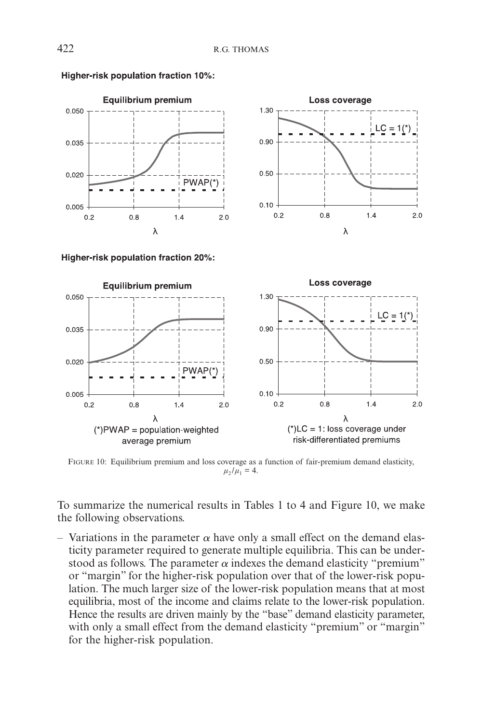

#### Higher-risk population fraction 10%:

FIGURE 10: Equilibrium premium and loss coverage as a function of fair-premium demand elasticity,  $\mu_2/\mu_1 = 4.$ 

To summarize the numerical results in Tables 1 to 4 and Figure 10, we make the following observations.

– Variations in the parameter  $\alpha$  have only a small effect on the demand elasticity parameter required to generate multiple equilibria. This can be understood as follows. The parameter  $\alpha$  indexes the demand elasticity "premium" or "margin" for the higher-risk population over that of the lower-risk population. The much larger size of the lower-risk population means that at most equilibria, most of the income and claims relate to the lower-risk population. Hence the results are driven mainly by the "base" demand elasticity parameter, with only a small effect from the demand elasticity "premium" or "margin" for the higher-risk population.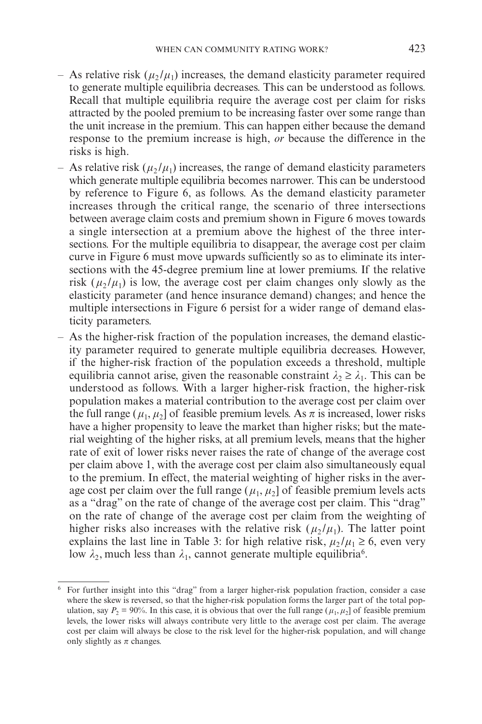- $-$  As relative risk  $(\mu_2/\mu_1)$  increases, the demand elasticity parameter required to generate multiple equilibria decreases. This can be understood as follows. Recall that multiple equilibria require the average cost per claim for risks attracted by the pooled premium to be increasing faster over some range than the unit increase in the premium. This can happen either because the demand response to the premium increase is high, *or* because the difference in the risks is high.
- $-$  As relative risk  $(\mu_2/\mu_1)$  increases, the range of demand elasticity parameters which generate multiple equilibria becomes narrower. This can be understood by reference to Figure 6, as follows. As the demand elasticity parameter increases through the critical range, the scenario of three intersections between average claim costs and premium shown in Figure 6 moves towards a single intersection at a premium above the highest of the three intersections. For the multiple equilibria to disappear, the average cost per claim curve in Figure 6 must move upwards sufficiently so as to eliminate its intersections with the 45-degree premium line at lower premiums. If the relative risk  $(\mu_2/\mu_1)$  is low, the average cost per claim changes only slowly as the elasticity parameter (and hence insurance demand) changes; and hence the multiple intersections in Figure 6 persist for a wider range of demand elasticity parameters.
- As the higher-risk fraction of the population increases, the demand elasticity parameter required to generate multiple equilibria decreases. However, if the higher-risk fraction of the population exceeds a threshold, multiple equilibria cannot arise, given the reasonable constraint  $\lambda_2 \geq \lambda_1$ . This can be understood as follows. With a larger higher-risk fraction, the higher-risk population makes a material contribution to the average cost per claim over the full range ( $\mu_1, \mu_2$ ] of feasible premium levels. As  $\pi$  is increased, lower risks have a higher propensity to leave the market than higher risks; but the material weighting of the higher risks, at all premium levels, means that the higher rate of exit of lower risks never raises the rate of change of the average cost per claim above 1, with the average cost per claim also simultaneously equal to the premium. In effect, the material weighting of higher risks in the average cost per claim over the full range  $(\mu_1, \mu_2]$  of feasible premium levels acts as a "drag" on the rate of change of the average cost per claim. This "drag" on the rate of change of the average cost per claim from the weighting of higher risks also increases with the relative risk  $(\mu_2/\mu_1)$ . The latter point explains the last line in Table 3: for high relative risk,  $\mu_2/\mu_1 \ge 6$ , even very low  $\lambda_2$ , much less than  $\lambda_1$ , cannot generate multiple equilibria<sup>6</sup>.

<sup>6</sup> For further insight into this "drag" from a larger higher-risk population fraction, consider a case where the skew is reversed, so that the higher-risk population forms the larger part of the total population, say  $P_2 = 90\%$ . In this case, it is obvious that over the full range ( $\mu_1, \mu_2$ ) of feasible premium levels, the lower risks will always contribute very little to the average cost per claim. The average cost per claim will always be close to the risk level for the higher-risk population, and will change only slightly as  $\pi$  changes.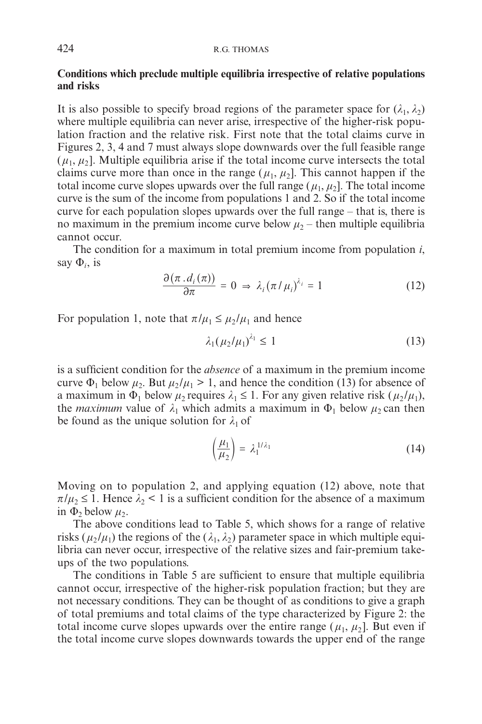#### **Conditions which preclude multiple equilibria irrespective of relative populations and risks**

It is also possible to specify broad regions of the parameter space for  $(\lambda_1, \lambda_2)$ where multiple equilibria can never arise, irrespective of the higher-risk population fraction and the relative risk. First note that the total claims curve in Figures 2, 3, 4 and 7 must always slope downwards over the full feasible range  $(\mu_1, \mu_2]$ . Multiple equilibria arise if the total income curve intersects the total claims curve more than once in the range  $(\mu_1, \mu_2]$ . This cannot happen if the total income curve slopes upwards over the full range  $(\mu_1, \mu_2]$ . The total income curve is the sum of the income from populations 1 and 2. So if the total income curve for each population slopes upwards over the full range – that is, there is no maximum in the premium income curve below  $\mu_2$  – then multiple equilibria cannot occur.

The condition for a maximum in total premium income from population *i*, say  $\Phi_i$ , is

$$
\frac{\partial (\pi. d_i(\pi))}{\partial \pi} = 0 \Rightarrow \lambda_i (\pi / \mu_i)^{\lambda_i} = 1 \tag{12}
$$

For population 1, note that  $\pi/\mu_1 \leq \mu_2/\mu_1$  and hence

$$
\lambda_1(\mu_2/\mu_1)^{\lambda_1} \le 1 \tag{13}
$$

is a sufficient condition for the *absence* of a maximum in the premium income curve  $\Phi_1$  below  $\mu_2$ . But  $\mu_2/\mu_1 > 1$ , and hence the condition (13) for absence of a maximum in  $\Phi_1$  below  $\mu_2$  requires  $\lambda_1 \leq 1$ . For any given relative risk  $(\mu_2/\mu_1)$ , the *maximum* value of  $\lambda_1$  which admits a maximum in  $\Phi_1$  below  $\mu_2$  can then be found as the unique solution for  $\lambda_1$  of

$$
\left(\frac{\mu_1}{\mu_2}\right) = \lambda_1^{1/\lambda_1} \tag{14}
$$

Moving on to population 2, and applying equation (12) above, note that  $\pi/\mu_2 \leq 1$ . Hence  $\lambda_2 < 1$  is a sufficient condition for the absence of a maximum in  $\Phi_2$  below  $\mu_2$ .

The above conditions lead to Table 5, which shows for a range of relative risks ( $\mu_2/\mu_1$ ) the regions of the ( $\lambda_1$ ,  $\lambda_2$ ) parameter space in which multiple equilibria can never occur, irrespective of the relative sizes and fair-premium takeups of the two populations.

The conditions in Table 5 are sufficient to ensure that multiple equilibria cannot occur, irrespective of the higher-risk population fraction; but they are not necessary conditions. They can be thought of as conditions to give a graph of total premiums and total claims of the type characterized by Figure 2: the total income curve slopes upwards over the entire range  $(\mu_1, \mu_2]$ . But even if the total income curve slopes downwards towards the upper end of the range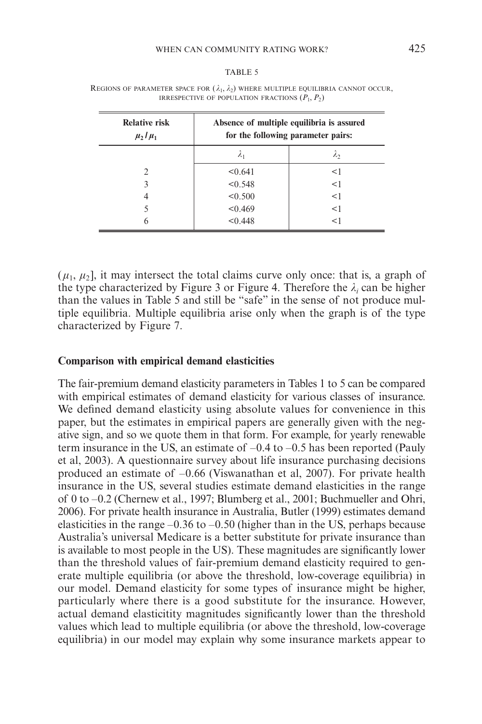| i | v |
|---|---|
|---|---|

| <b>Relative risk</b><br>$\mu$ <sub>2</sub> $\mu$ <sub>1</sub> | Absence of multiple equilibria is assured<br>for the following parameter pairs: |       |
|---------------------------------------------------------------|---------------------------------------------------------------------------------|-------|
|                                                               | $\lambda_1$                                                                     | んっ    |
| $\mathcal{D}_{\mathcal{D}}$                                   | < 0.641                                                                         | <1    |
|                                                               | < 0.548                                                                         | <1    |
| 4                                                             | < 0.500                                                                         | <1    |
|                                                               | < 0.469                                                                         | <1    |
| 6                                                             | < 0.448                                                                         | $<$ 1 |

REGIONS OF PARAMETER SPACE FOR  $(\lambda_1, \lambda_2)$  where multiple equilibria cannot occur, IRRESPECTIVE OF POPULATION FRACTIONS  $(P_1, P_2)$ 

 $(\mu_1, \mu_2]$ , it may intersect the total claims curve only once: that is, a graph of the type characterized by Figure 3 or Figure 4. Therefore the  $\lambda_i$  can be higher than the values in Table 5 and still be "safe" in the sense of not produce multiple equilibria. Multiple equilibria arise only when the graph is of the type characterized by Figure 7.

#### **Comparison with empirical demand elasticities**

The fair-premium demand elasticity parameters in Tables 1 to 5 can be compared with empirical estimates of demand elasticity for various classes of insurance. We defined demand elasticity using absolute values for convenience in this paper, but the estimates in empirical papers are generally given with the negative sign, and so we quote them in that form. For example, for yearly renewable term insurance in the US, an estimate of –0.4 to –0.5 has been reported (Pauly et al, 2003). A questionnaire survey about life insurance purchasing decisions produced an estimate of –0.66 (Viswanathan et al, 2007). For private health insurance in the US, several studies estimate demand elasticities in the range of 0 to –0.2 (Chernew et al., 1997; Blumberg et al., 2001; Buchmueller and Ohri, 2006). For private health insurance in Australia, Butler (1999) estimates demand elasticities in the range  $-0.36$  to  $-0.50$  (higher than in the US, perhaps because Australia's universal Medicare is a better substitute for private insurance than is available to most people in the US). These magnitudes are significantly lower than the threshold values of fair-premium demand elasticity required to generate multiple equilibria (or above the threshold, low-coverage equilibria) in our model. Demand elasticity for some types of insurance might be higher, particularly where there is a good substitute for the insurance. However, actual demand elasticitity magnitudes significantly lower than the threshold values which lead to multiple equilibria (or above the threshold, low-coverage equilibria) in our model may explain why some insurance markets appear to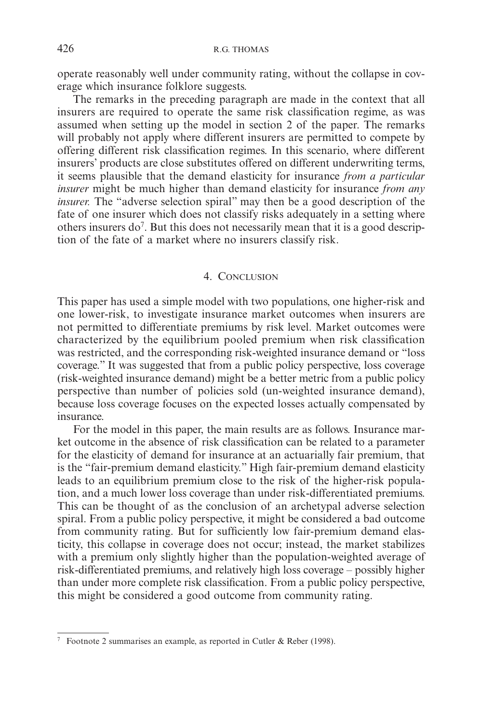operate reasonably well under community rating, without the collapse in coverage which insurance folklore suggests.

The remarks in the preceding paragraph are made in the context that all insurers are required to operate the same risk classification regime, as was assumed when setting up the model in section 2 of the paper. The remarks will probably not apply where different insurers are permitted to compete by offering different risk classification regimes. In this scenario, where different insurers' products are close substitutes offered on different underwriting terms, it seems plausible that the demand elasticity for insurance *from a particular insurer* might be much higher than demand elasticity for insurance *from any insurer.* The "adverse selection spiral" may then be a good description of the fate of one insurer which does not classify risks adequately in a setting where others insurers do<sup>7</sup>. But this does not necessarily mean that it is a good description of the fate of a market where no insurers classify risk.

#### 4. CONCLUSION

This paper has used a simple model with two populations, one higher-risk and one lower-risk, to investigate insurance market outcomes when insurers are not permitted to differentiate premiums by risk level. Market outcomes were characterized by the equilibrium pooled premium when risk classification was restricted, and the corresponding risk-weighted insurance demand or "loss coverage." It was suggested that from a public policy perspective, loss coverage (risk-weighted insurance demand) might be a better metric from a public policy perspective than number of policies sold (un-weighted insurance demand), because loss coverage focuses on the expected losses actually compensated by insurance.

For the model in this paper, the main results are as follows. Insurance market outcome in the absence of risk classification can be related to a parameter for the elasticity of demand for insurance at an actuarially fair premium, that is the "fair-premium demand elasticity." High fair-premium demand elasticity leads to an equilibrium premium close to the risk of the higher-risk population, and a much lower loss coverage than under risk-differentiated premiums. This can be thought of as the conclusion of an archetypal adverse selection spiral. From a public policy perspective, it might be considered a bad outcome from community rating. But for sufficiently low fair-premium demand elasticity, this collapse in coverage does not occur; instead, the market stabilizes with a premium only slightly higher than the population-weighted average of risk-differentiated premiums, and relatively high loss coverage – possibly higher than under more complete risk classification. From a public policy perspective, this might be considered a good outcome from community rating.

<sup>7</sup> Footnote 2 summarises an example, as reported in Cutler & Reber (1998).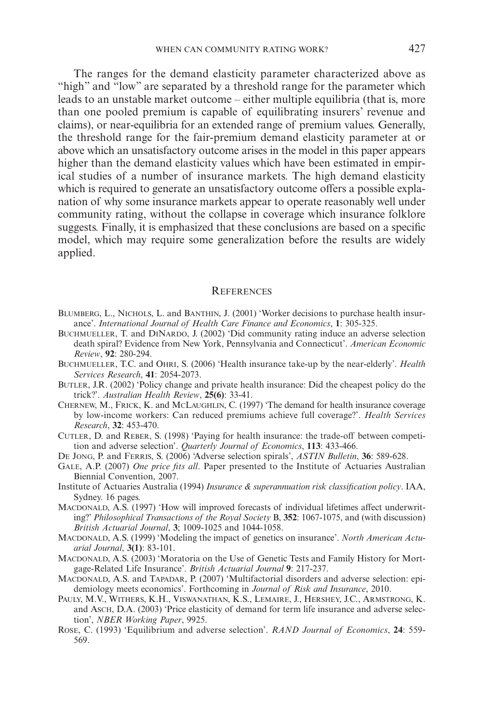The ranges for the demand elasticity parameter characterized above as "high" and "low" are separated by a threshold range for the parameter which leads to an unstable market outcome – either multiple equilibria (that is, more than one pooled premium is capable of equilibrating insurers' revenue and claims), or near-equilibria for an extended range of premium values. Generally, the threshold range for the fair-premium demand elasticity parameter at or above which an unsatisfactory outcome arises in the model in this paper appears higher than the demand elasticity values which have been estimated in empirical studies of a number of insurance markets. The high demand elasticity which is required to generate an unsatisfactory outcome offers a possible explanation of why some insurance markets appear to operate reasonably well under community rating, without the collapse in coverage which insurance folklore suggests. Finally, it is emphasized that these conclusions are based on a specific model, which may require some generalization before the results are widely applied.

#### **REFERENCES**

- BLUMBERG, L., NICHOLS, L. and BANTHIN, J. (2001) 'Worker decisions to purchase health insurance'. *International Journal of Health Care Finance and Economics*, **1**: 305-325.
- BUCHMUELLER, T. and DINARDO, J. (2002) 'Did community rating induce an adverse selection death spiral? Evidence from New York, Pennsylvania and Connecticut'. *American Economic Review*, **92**: 280-294.
- BUCHMUELLER, T.C. and OHRI, S. (2006) 'Health insurance take-up by the near-elderly'. *Health Services Research*, **41**: 2054-2073.
- BUTLER, J.R. (2002) 'Policy change and private health insurance: Did the cheapest policy do the trick?'. *Australian Health Review*, **25(6)**: 33-41.
- CHERNEW, M., FRICK, K. and MCLAUGHLIN, C. (1997) 'The demand for health insurance coverage by low-income workers: Can reduced premiums achieve full coverage?'. *Health Services Research*, **32**: 453-470.
- CUTLER, D. and REBER, S. (1998) 'Paying for health insurance: the trade-off between competition and adverse selection'. *Quarterly Journal of Economics*, **113**: 433-466.
- DE JONG, P. and FERRIS, S. (2006) 'Adverse selection spirals', *ASTIN Bulletin*, **36**: 589-628.
- GALE, A.P. (2007) *One price fits all*. Paper presented to the Institute of Actuaries Australian Biennial Convention, 2007.
- Institute of Actuaries Australia (1994) *Insurance & superannuation risk classification policy*. IAA, Sydney. 16 pages.
- MACDONALD, A.S. (1997) 'How will improved forecasts of individual lifetimes affect underwriting?' *Philosophical Transactions of the Royal Society* B, **352**: 1067-1075, and (with discussion) *British Actuarial Journal*, **3**; 1009-1025 and 1044-1058.
- MACDONALD, A.S. (1999) 'Modeling the impact of genetics on insurance'. *North American Actuarial Journal*, **3(1)**: 83-101.
- MACDONALD, A.S. (2003) 'Moratoria on the Use of Genetic Tests and Family History for Mortgage-Related Life Insurance'. *British Actuarial Journal* **9**: 217-237.
- MACDONALD, A.S. and TAPADAR, P. (2007) 'Multifactorial disorders and adverse selection: epidemiology meets economics'. Forthcoming in *Journal of Risk and Insurance*, 2010.
- PAULY, M.V., WITHERS, K.H., VISWANATHAN, K.S., LEMAIRE, J., HERSHEY, J.C., ARMSTRONG, K. and ASCH, D.A. (2003) 'Price elasticity of demand for term life insurance and adverse selection', *NBER Working Paper*, 9925.
- ROSE, C. (1993) 'Equilibrium and adverse selection'. *RAND Journal of Economics*, **24**: 559- 569.